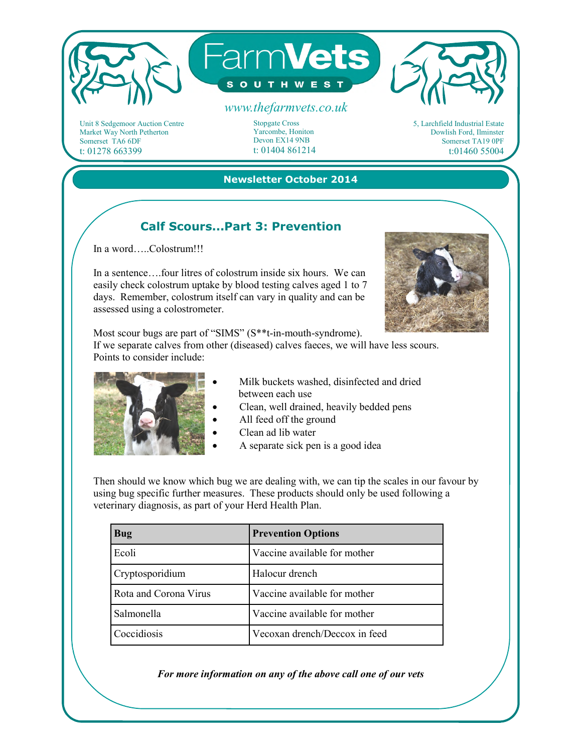

Unit 8 Sedgemoor Auction Centre Market Way North Petherton Somerset TA6 6DF t: 01278 663399

Stopgate Cross Yarcombe, Honiton Devon EX14 9NB t: 01404 861214



#### **Newsletter October 2014**

# **Calf Scours...Part 3: Prevention**

In a word…..Colostrum!!!

In a sentence….four litres of colostrum inside six hours. We can easily check colostrum uptake by blood testing calves aged 1 to 7 days. Remember, colostrum itself can vary in quality and can be assessed using a colostrometer.



Most scour bugs are part of "SIMS" (S\*\*t-in-mouth-syndrome). If we separate calves from other (diseased) calves faeces, we will have less scours. Points to consider include:



- Milk buckets washed, disinfected and dried between each use
- Clean, well drained, heavily bedded pens
- All feed off the ground
- Clean ad lib water
- A separate sick pen is a good idea

Then should we know which bug we are dealing with, we can tip the scales in our favour by using bug specific further measures. These products should only be used following a veterinary diagnosis, as part of your Herd Health Plan.

| <b>Bug</b>            | <b>Prevention Options</b>     |
|-----------------------|-------------------------------|
| Ecoli                 | Vaccine available for mother  |
| Cryptosporidium       | Halocur drench                |
| Rota and Corona Virus | Vaccine available for mother  |
| Salmonella            | Vaccine available for mother  |
| Coccidiosis           | Vecoxan drench/Deccox in feed |

*For more information on any of the above call one of our vets*